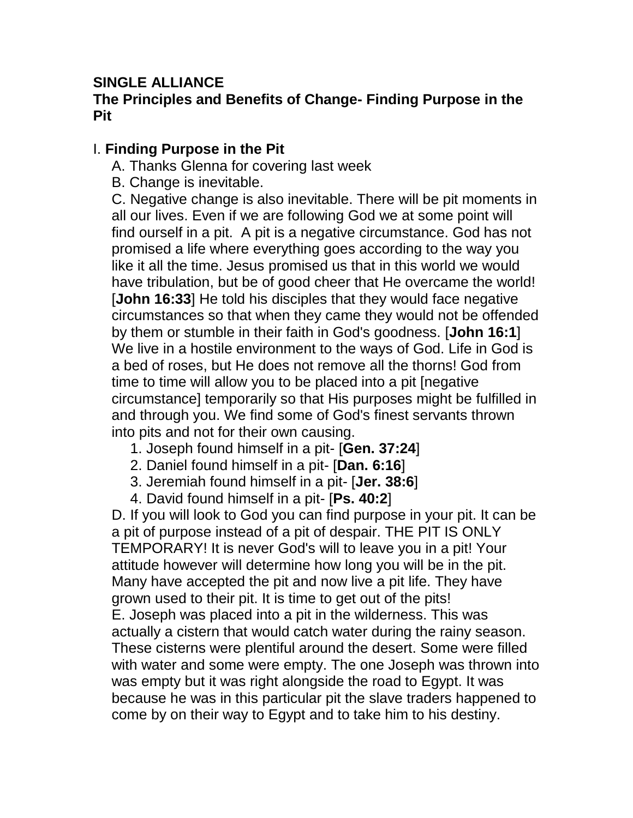## **SINGLE ALLIANCE**

## **The Principles and Benefits of Change- Finding Purpose in the Pit**

## I. **Finding Purpose in the Pit**

A. Thanks Glenna for covering last week

B. Change is inevitable.

C. Negative change is also inevitable. There will be pit moments in all our lives. Even if we are following God we at some point will find ourself in a pit. A pit is a negative circumstance. God has not promised a life where everything goes according to the way you like it all the time. Jesus promised us that in this world we would have tribulation, but be of good cheer that He overcame the world! [**John 16:33**] He told his disciples that they would face negative circumstances so that when they came they would not be offended by them or stumble in their faith in God's goodness. [**John 16:1**] We live in a hostile environment to the ways of God. Life in God is a bed of roses, but He does not remove all the thorns! God from time to time will allow you to be placed into a pit [negative circumstance] temporarily so that His purposes might be fulfilled in and through you. We find some of God's finest servants thrown into pits and not for their own causing.

- 1. Joseph found himself in a pit- [**Gen. 37:24**]
- 2. Daniel found himself in a pit- [**Dan. 6:16**]
- 3. Jeremiah found himself in a pit- [**Jer. 38:6**]
- 4. David found himself in a pit- [**Ps. 40:2**]

D. If you will look to God you can find purpose in your pit. It can be a pit of purpose instead of a pit of despair. THE PIT IS ONLY TEMPORARY! It is never God's will to leave you in a pit! Your attitude however will determine how long you will be in the pit. Many have accepted the pit and now live a pit life. They have grown used to their pit. It is time to get out of the pits! E. Joseph was placed into a pit in the wilderness. This was actually a cistern that would catch water during the rainy season. These cisterns were plentiful around the desert. Some were filled with water and some were empty. The one Joseph was thrown into was empty but it was right alongside the road to Egypt. It was because he was in this particular pit the slave traders happened to come by on their way to Egypt and to take him to his destiny.